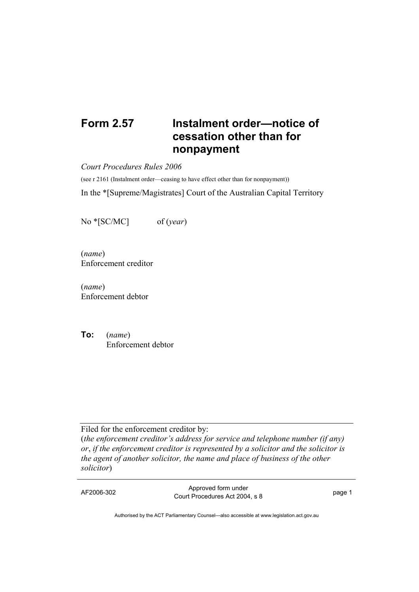## **Form 2.57 Instalment order—notice of cessation other than for nonpayment**

*Court Procedures Rules 2006* 

(see r 2161 (Instalment order—ceasing to have effect other than for nonpayment))

In the \*[Supreme/Magistrates] Court of the Australian Capital Territory

No \*[SC/MC] of (*year*)

(*name*) Enforcement creditor

(*name*) Enforcement debtor

**To:** (*name*) Enforcement debtor

Filed for the enforcement creditor by:

(*the enforcement creditor's address for service and telephone number (if any) or*, *if the enforcement creditor is represented by a solicitor and the solicitor is the agent of another solicitor, the name and place of business of the other solicitor*)

AF2006-302 Approved form under Approved form drider<br>Court Procedures Act 2004, s 8

Authorised by the ACT Parliamentary Counsel—also accessible at www.legislation.act.gov.au